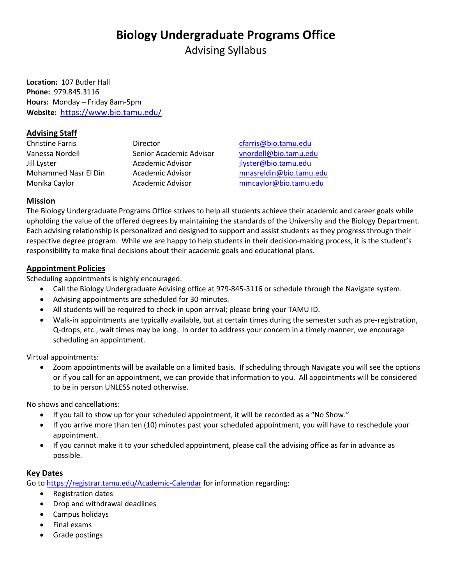# **Biology Undergraduate Programs Office**

Advising Syllabus

**Location:** 107 Butler Hall **Phone:** 979.845.3116 **Hours:** Monday – Friday 8am-5pm **Website:** <https://www.bio.tamu.edu/>

#### **Advising Staff**

Christine Farris Director [cfarris@bio.tamu.edu](mailto:cfarris@bio.tamu.edu) Vanessa Nordell Senior Academic Advisor [vnordell@bio.tamu.edu](mailto:vnordell@bio.tamu.edu) Jill Lyster Academic Advisor [jlyster@bio.tamu.edu](mailto:jlyster@bio.tamu.edu)

Mohammed Nasr El Din Academic Advisor [mnasreldin@bio.tamu.edu](mailto:mnasreldin@bio.tamu.edu) Monika Caylor Academic Advisor [mmcaylor@bio.tamu.edu](mailto:mmcaylor@bio.tamu.edu)

## **Mission**

The Biology Undergraduate Programs Office strives to help all students achieve their academic and career goals while upholding the value of the offered degrees by maintaining the standards of the University and the Biology Department. Each advising relationship is personalized and designed to support and assist students as they progress through their respective degree program. While we are happy to help students in their decision-making process, it is the student's responsibility to make final decisions about their academic goals and educational plans.

#### **Appointment Policies**

Scheduling appointments is highly encouraged.

- Call the Biology Undergraduate Advising office at 979-845-3116 or schedule through the Navigate system.
- Advising appointments are scheduled for 30 minutes.
- All students will be required to check-in upon arrival; please bring your TAMU ID.
- Walk-in appointments are typically available, but at certain times during the semester such as pre-registration, Q-drops, etc., wait times may be long. In order to address your concern in a timely manner, we encourage scheduling an appointment.

Virtual appointments:

• Zoom appointments will be available on a limited basis. If scheduling through Navigate you will see the options or if you call for an appointment, we can provide that information to you. All appointments will be considered to be in person UNLESS noted otherwise.

No shows and cancellations:

- If you fail to show up for your scheduled appointment, it will be recorded as a "No Show."
- If you arrive more than ten (10) minutes past your scheduled appointment, you will have to reschedule your appointment.
- If you cannot make it to your scheduled appointment, please call the advising office as far in advance as possible.

#### **Key Dates**

Go to<https://registrar.tamu.edu/Academic-Calendar> for information regarding:

- Registration dates
- Drop and withdrawal deadlines
- Campus holidays
- Final exams
- Grade postings